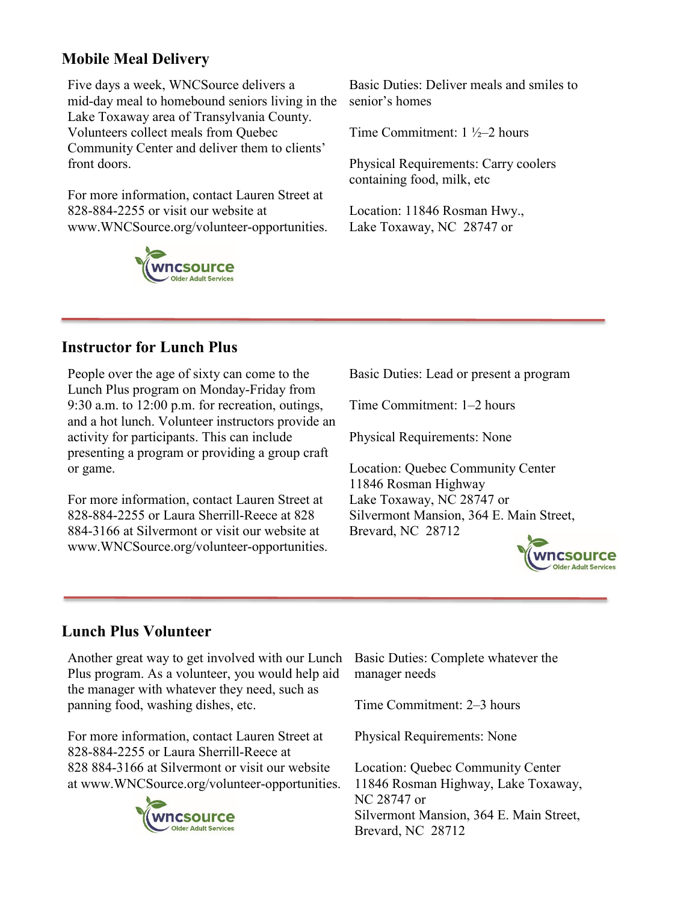## **Mobile Meal Delivery**

Five days a week, WNCSource delivers a mid-day meal to homebound seniors living in the Lake Toxaway area of Transylvania County. Volunteers collect meals from Quebec Community Center and deliver them to clients' front doors.

For more information, contact Lauren Street at 828-884-2255 or visit our website at www.WNCSource.org/volunteer-opportunities.



Basic Duties: Deliver meals and smiles to senior's homes

Time Commitment: 1 ½–2 hours

Physical Requirements: Carry coolers containing food, milk, etc

Location: 11846 Rosman Hwy., Lake Toxaway, NC 28747 or

## **Instructor for Lunch Plus**

People over the age of sixty can come to the Lunch Plus program on Monday-Friday from 9:30 a.m. to 12:00 p.m. for recreation, outings, and a hot lunch. Volunteer instructors provide an activity for participants. This can include presenting a program or providing a group craft or game.

For more information, contact Lauren Street at 828-884-2255 or Laura Sherrill-Reece at 828 884-3166 at Silvermont or visit our website at www.WNCSource.org/volunteer-opportunities. Basic Duties: Lead or present a program

Time Commitment: 1–2 hours

Physical Requirements: None

Location: Quebec Community Center 11846 Rosman Highway Lake Toxaway, NC 28747 or Silvermont Mansion, 364 E. Main Street, Brevard, NC 28712



## **Lunch Plus Volunteer**

Another great way to get involved with our Lunch Plus program. As a volunteer, you would help aid the manager with whatever they need, such as panning food, washing dishes, etc.

For more information, contact Lauren Street at 828-884-2255 or Laura Sherrill-Reece at 828 884-3166 at Silvermont or visit our website at www.WNCSource.org/volunteer-opportunities.



Basic Duties: Complete whatever the manager needs

Time Commitment: 2–3 hours

Physical Requirements: None

Location: Quebec Community Center 11846 Rosman Highway, Lake Toxaway, NC 28747 or Silvermont Mansion, 364 E. Main Street, Brevard, NC 28712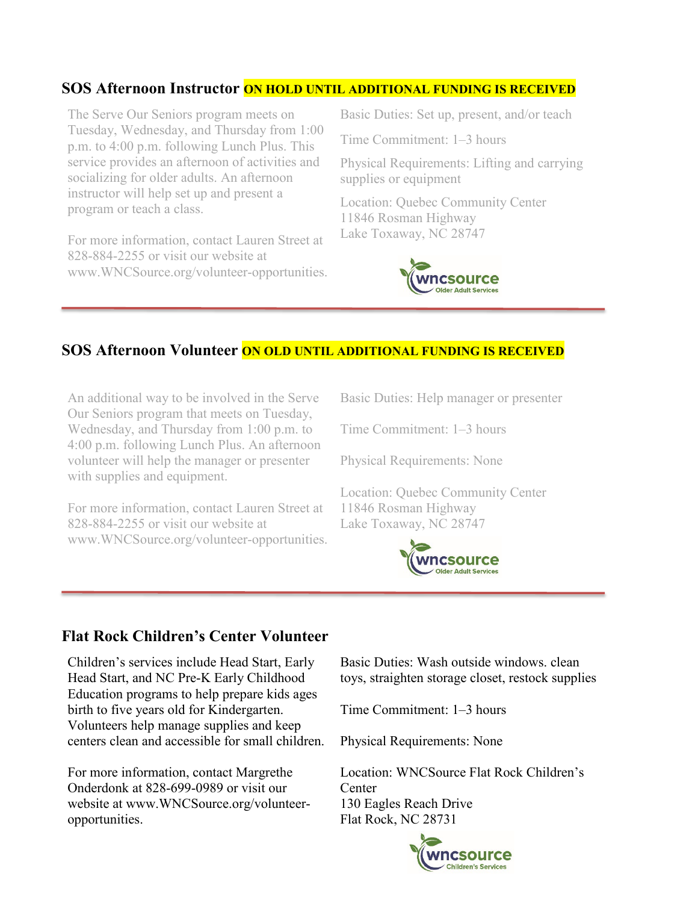#### **SOS Afternoon Instructor ON HOLD UNTIL ADDITIONAL FUNDING IS RECEIVED**

The Serve Our Seniors program meets on Tuesday, Wednesday, and Thursday from 1:00 p.m. to 4:00 p.m. following Lunch Plus. This service provides an afternoon of activities and socializing for older adults. An afternoon instructor will help set up and present a program or teach a class.

For more information, contact Lauren Street at 828-884-2255 or visit our website at www.WNCSource.org/volunteer-opportunities. Basic Duties: Set up, present, and/or teach

Time Commitment: 1–3 hours

Physical Requirements: Lifting and carrying supplies or equipment

Location: Quebec Community Center 11846 Rosman Highway Lake Toxaway, NC 28747



#### **SOS Afternoon Volunteer ON OLD UNTIL ADDITIONAL FUNDING IS RECEIVED**

An additional way to be involved in the Serve Our Seniors program that meets on Tuesday, Wednesday, and Thursday from 1:00 p.m. to 4:00 p.m. following Lunch Plus. An afternoon volunteer will help the manager or presenter with supplies and equipment.

For more information, contact Lauren Street at 828-884-2255 or visit our website at www.WNCSource.org/volunteer-opportunities. Basic Duties: Help manager or presenter

Time Commitment: 1–3 hours

Physical Requirements: None

Location: Quebec Community Center 11846 Rosman Highway Lake Toxaway, NC 28747



#### **Flat Rock Children's Center Volunteer**

Children's services include Head Start, Early Head Start, and NC Pre-K Early Childhood Education programs to help prepare kids ages birth to five years old for Kindergarten. Volunteers help manage supplies and keep centers clean and accessible for small children.

For more information, contact Margrethe Onderdonk at 828-699-0989 or visit our website at www.WNCSource.org/volunteeropportunities.

Basic Duties: Wash outside windows. clean toys, straighten storage closet, restock supplies

Time Commitment: 1–3 hours

Physical Requirements: None

Location: WNCSource Flat Rock Children's **Center** 130 Eagles Reach Drive Flat Rock, NC 28731

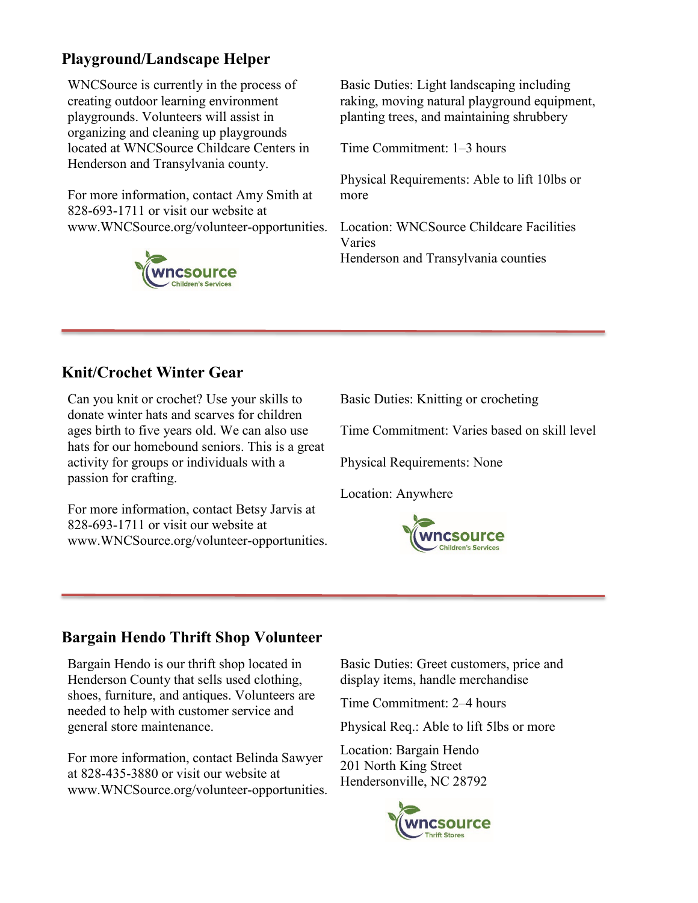# **Playground/Landscape Helper**

WNCSource is currently in the process of creating outdoor learning environment playgrounds. Volunteers will assist in organizing and cleaning up playgrounds located at WNCSource Childcare Centers in Henderson and Transylvania county.

For more information, contact Amy Smith at 828-693-1711 or visit our website at www.WNCSource.org/volunteer-opportunities.



Basic Duties: Light landscaping including raking, moving natural playground equipment, planting trees, and maintaining shrubbery

Time Commitment: 1–3 hours

Physical Requirements: Able to lift 10lbs or more

Location: WNCSource Childcare Facilities Varies Henderson and Transylvania counties

## **Knit/Crochet Winter Gear**

Can you knit or crochet? Use your skills to donate winter hats and scarves for children ages birth to five years old. We can also use hats for our homebound seniors. This is a great activity for groups or individuals with a passion for crafting.

For more information, contact Betsy Jarvis at 828-693-1711 or visit our website at www.WNCSource.org/volunteer-opportunities. Basic Duties: Knitting or crocheting

Time Commitment: Varies based on skill level

Physical Requirements: None

Location: Anywhere



#### **Bargain Hendo Thrift Shop Volunteer**

Bargain Hendo is our thrift shop located in Henderson County that sells used clothing, shoes, furniture, and antiques. Volunteers are needed to help with customer service and general store maintenance.

For more information, contact Belinda Sawyer at 828-435-3880 or visit our website at www.WNCSource.org/volunteer-opportunities. Basic Duties: Greet customers, price and display items, handle merchandise

Time Commitment: 2–4 hours

Physical Req.: Able to lift 5lbs or more

Location: Bargain Hendo 201 North King Street Hendersonville, NC 28792

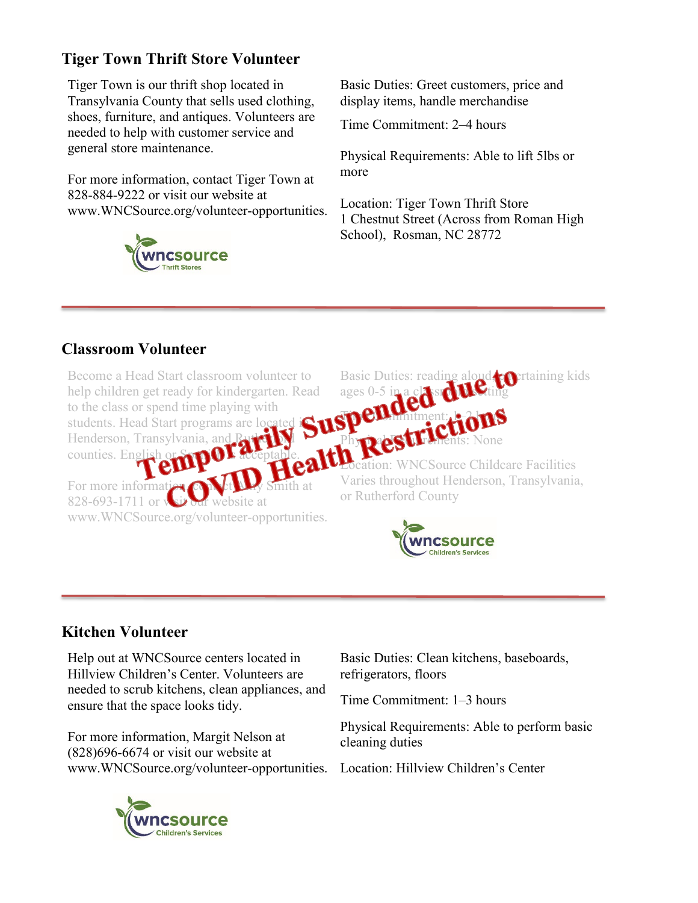# **Tiger Town Thrift Store Volunteer**

Tiger Town is our thrift shop located in Transylvania County that sells used clothing, shoes, furniture, and antiques. Volunteers are needed to help with customer service and general store maintenance.

For more information, contact Tiger Town at 828-884-9222 or visit our website at www.WNCSource.org/volunteer-opportunities.



Basic Duties: Greet customers, price and display items, handle merchandise

Time Commitment: 2–4 hours

Physical Requirements: Able to lift 5lbs or more

Location: Tiger Town Thrift Store 1 Chestnut Street (Across from Roman High School), Rosman, NC 28772

# **Classroom Volunteer**

Become a Head Start classroom volunteer to help children get ready for kindergarten. Read to the class or spend time playing with students. Head Start programs are located io Henderson, Transylvania, and Rutherford counties. English or  $\mathbf{S}$   $\mathbf{C}$  acceptable. For more informaties **on the UV** Smith at  $828-693-1711$  or  $\sqrt{\sin \theta}$  website at www.WNCSource.org/volunteer-opportunities. Basic Duties: reading aloud, entaining kids ages  $0-5$  in a class of the ting Time Limitment: 1–2 hours

Location: WNCSource Childcare Facilities Varies throughout Henderson, Transylvania, or Rutherford County



Phy**pape Urements:** None

## **Kitchen Volunteer**

Help out at WNCSource centers located in Hillview Children's Center. Volunteers are needed to scrub kitchens, clean appliances, and ensure that the space looks tidy.

For more information, Margit Nelson at (828)696-6674 or visit our website at www.WNCSource.org/volunteer-opportunities. Location: Hillview Children's Center



Basic Duties: Clean kitchens, baseboards, refrigerators, floors

Time Commitment: 1–3 hours

Physical Requirements: Able to perform basic cleaning duties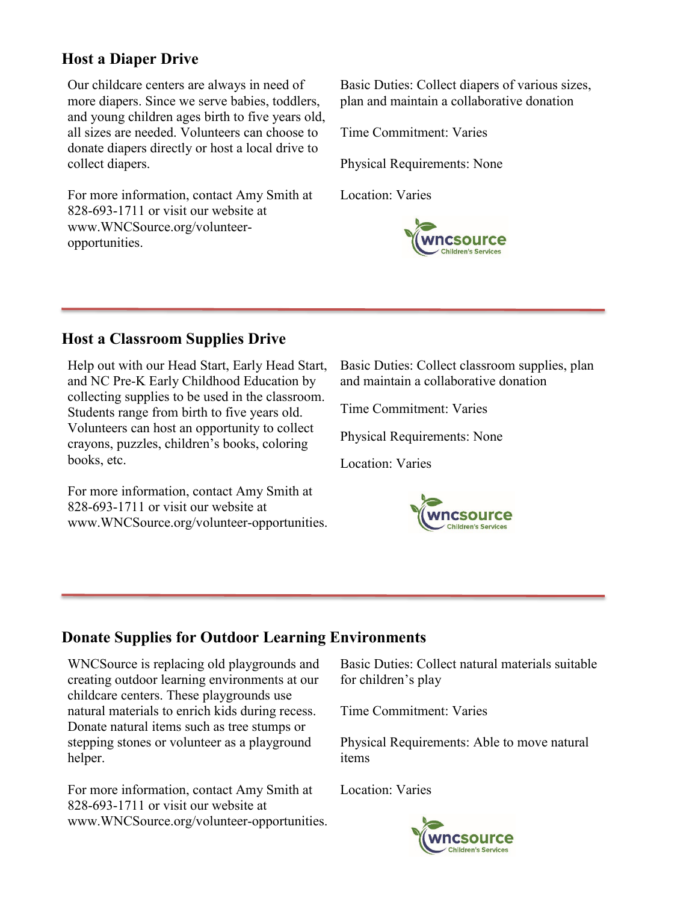## **Host a Diaper Drive**

Our childcare centers are always in need of more diapers. Since we serve babies, toddlers, and young children ages birth to five years old, all sizes are needed. Volunteers can choose to donate diapers directly or host a local drive to collect diapers.

For more information, contact Amy Smith at 828-693-1711 or visit our website at www.WNCSource.org/volunteeropportunities.

Basic Duties: Collect diapers of various sizes, plan and maintain a collaborative donation

Time Commitment: Varies

Physical Requirements: None

Location: Varies



## **Host a Classroom Supplies Drive**

Help out with our Head Start, Early Head Start, and NC Pre-K Early Childhood Education by collecting supplies to be used in the classroom. Students range from birth to five years old. Volunteers can host an opportunity to collect crayons, puzzles, children's books, coloring books, etc.

For more information, contact Amy Smith at 828-693-1711 or visit our website at www.WNCSource.org/volunteer-opportunities. Basic Duties: Collect classroom supplies, plan and maintain a collaborative donation

Time Commitment: Varies

Physical Requirements: None

Location: Varies



## **Donate Supplies for Outdoor Learning Environments**

WNCSource is replacing old playgrounds and creating outdoor learning environments at our childcare centers. These playgrounds use natural materials to enrich kids during recess. Donate natural items such as tree stumps or stepping stones or volunteer as a playground helper.

For more information, contact Amy Smith at 828-693-1711 or visit our website at www.WNCSource.org/volunteer-opportunities. Basic Duties: Collect natural materials suitable for children's play

Time Commitment: Varies

Physical Requirements: Able to move natural items

Location: Varies